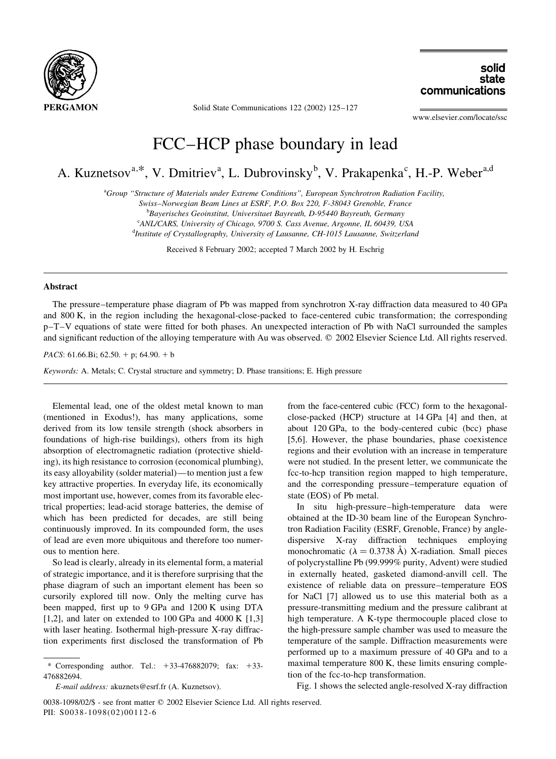

Solid State Communications 122 (2002) 125-127

solid state communications

www.elsevier.com/locate/ssc

## FCC-HCP phase boundary in lead

A. Kuznetsov<sup>a,\*</sup>, V. Dmitriev<sup>a</sup>, L. Dubrovinsky<sup>b</sup>, V. Prakapenka<sup>c</sup>, H.-P. Weber<sup>a,d</sup>

<sup>a</sup>Group "Structure of Materials under Extreme Conditions", European Synchrotron Radiation Facility,

Swiss-Norwegian Beam Lines at ESRF, P.O. Box 220, F-38043 Grenoble, France

<sup>b</sup>Bayerisches Geoinstitut, Universitaet Bayreuth, D-95440 Bayreuth, Germany

<sup>c</sup>ANL/CARS, University of Chicago, 9700 S. Cass Avenue, Argonne, IL 60439, USA

<sup>d</sup>Institute of Crystallography, University of Lausanne, CH-1015 Lausanne, Switzerland

Received 8 February 2002; accepted 7 March 2002 by H. Eschrig

## **Abstract**

The pressure–temperature phase diagram of Pb was mapped from synchrotron X-ray diffraction data measured to 40 GPa and 800 K, in the region including the hexagonal-close-packed to face-centered cubic transformation; the corresponding p-T-V equations of state were fitted for both phases. An unexpected interaction of Pb with NaCl surrounded the samples and significant reduction of the alloying temperature with Au was observed. © 2002 Elsevier Science Ltd. All rights reserved.

PACS: 61.66.Bi; 62.50. + p; 64.90. + b

Keywords: A. Metals; C. Crystal structure and symmetry; D. Phase transitions; E. High pressure

Elemental lead, one of the oldest metal known to man (mentioned in Exodus!), has many applications, some derived from its low tensile strength (shock absorbers in foundations of high-rise buildings), others from its high absorption of electromagnetic radiation (protective shielding), its high resistance to corrosion (economical plumbing), its easy alloyability (solder material)—to mention just a few key attractive properties. In everyday life, its economically most important use, however, comes from its favorable electrical properties; lead-acid storage batteries, the demise of which has been predicted for decades, are still being continuously improved. In its compounded form, the uses of lead are even more ubiquitous and therefore too numerous to mention here.

So lead is clearly, already in its elemental form, a material of strategic importance, and it is therefore surprising that the phase diagram of such an important element has been so cursorily explored till now. Only the melting curve has been mapped, first up to 9 GPa and 1200 K using DTA [1,2], and later on extended to 100 GPa and 4000 K  $[1,3]$ with laser heating. Isothermal high-pressure X-ray diffraction experiments first disclosed the transformation of Pb

tion of the fcc-to-hcp transformation. Fig. 1 shows the selected angle-resolved X-ray diffraction

from the face-centered cubic (FCC) form to the hexagonal-

close-packed (HCP) structure at 14 GPa [4] and then, at

about 120 GPa, to the body-centered cubic (bcc) phase

[5,6]. However, the phase boundaries, phase coexistence

regions and their evolution with an increase in temperature

were not studied. In the present letter, we communicate the

fcc-to-hcp transition region mapped to high temperature,

and the corresponding pressure-temperature equation of

obtained at the ID-30 beam line of the European Synchro-

tron Radiation Facility (ESRF, Grenoble, France) by angle-

dispersive X-ray diffraction techniques employing

monochromatic ( $\lambda = 0.3738$  Å) X-radiation. Small pieces

of polycrystalline Pb (99.999% purity, Advent) were studied

in externally heated, gasketed diamond-anvill cell. The

existence of reliable data on pressure-temperature EOS

for NaCl [7] allowed us to use this material both as a

pressure-transmitting medium and the pressure calibrant at

high temperature. A K-type thermocouple placed close to

the high-pressure sample chamber was used to measure the

temperature of the sample. Diffraction measurements were performed up to a maximum pressure of 40 GPa and to a maximal temperature 800 K, these limits ensuring comple-

In situ high-pressure-high-temperature data were

state (EOS) of Pb metal.

0038-1098/02/\$ - see front matter © 2002 Elsevier Science Ltd. All rights reserved. PII: S0038-1098(02)00112-6

<sup>\*</sup> Corresponding author. Tel.:  $+33-476882079$ : fax:  $+33-$ 476882694.

E-mail address: akuznets@esrf.fr (A. Kuznetsov).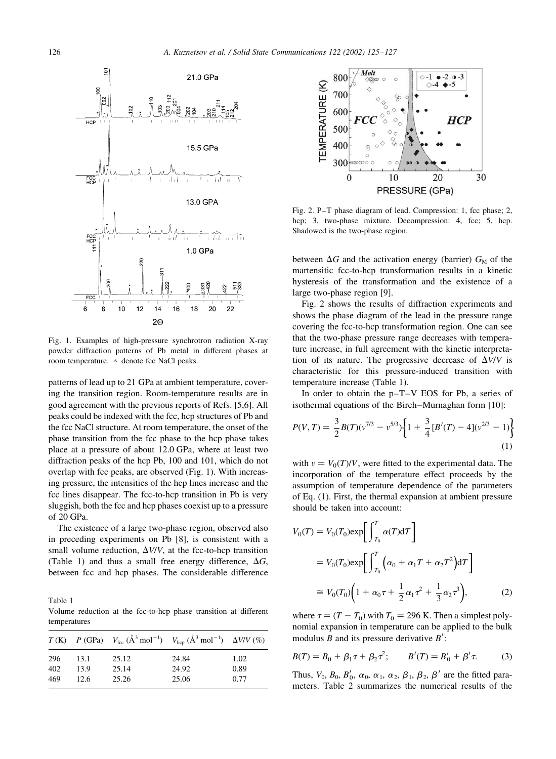

Fig. 1. Examples of high-pressure synchrotron radiation X-ray powder diffraction patterns of Pb metal in different phases at room temperature. \* denote fcc NaCl peaks.

patterns of lead up to 21 GPa at ambient temperature, covering the transition region. Room-temperature results are in good agreement with the previous reports of Refs. [5,6]. All peaks could be indexed with the fcc, hcp structures of Pb and the fcc NaCl structure. At room temperature, the onset of the phase transition from the fcc phase to the hcp phase takes place at a pressure of about 12.0 GPa, where at least two diffraction peaks of the hcp Pb, 100 and 101, which do not overlap with fcc peaks, are observed (Fig. 1). With increasing pressure, the intensities of the hcp lines increase and the fcc lines disappear. The fcc-to-hcp transition in Pb is very sluggish, both the fcc and hcp phases coexist up to a pressure of 20 GPa.

The existence of a large two-phase region, observed also in preceding experiments on Pb [8], is consistent with a small volume reduction,  $\Delta V/V$ , at the fcc-to-hcp transition (Table 1) and thus a small free energy difference,  $\Delta G$ , between fcc and hcp phases. The considerable difference

Table 1 Volume reduction at the fcc-to-hcp phase transition at different temperatures

|     |      |       | $T(K)$ $P(GPa)$ $V_{\text{fcc}}(\AA^3 \text{ mol}^{-1})$ $V_{\text{hcp}}(\AA^3 \text{ mol}^{-1})$ $\Delta V/V(\%)$ |      |
|-----|------|-------|--------------------------------------------------------------------------------------------------------------------|------|
| 296 | 13.1 | 25.12 | 24.84                                                                                                              | 1.02 |
| 402 | 13.9 | 25.14 | 24.92                                                                                                              | 0.89 |
| 469 | 12.6 | 25.26 | 25.06                                                                                                              | 0.77 |



Fig. 2. P-T phase diagram of lead. Compression: 1, fcc phase; 2, hcp; 3, two-phase mixture. Decompression: 4, fcc; 5, hcp. Shadowed is the two-phase region.

between  $\Delta G$  and the activation energy (barrier)  $G_M$  of the martensitic fcc-to-hcp transformation results in a kinetic hysteresis of the transformation and the existence of a large two-phase region [9].

Fig. 2 shows the results of diffraction experiments and shows the phase diagram of the lead in the pressure range covering the fcc-to-hcp transformation region. One can see that the two-phase pressure range decreases with temperature increase, in full agreement with the kinetic interpretation of its nature. The progressive decrease of  $\Delta V/V$  is characteristic for this pressure-induced transition with temperature increase (Table 1).

In order to obtain the  $p-T-V$  EOS for Pb, a series of isothermal equations of the Birch-Murnaghan form [10]:

$$
P(V,T) = \frac{3}{2}B(T)(v^{7/3} - v^{5/3})\left\{1 + \frac{3}{4}[B'(T) - 4](v^{2/3} - 1)\right\}
$$
\n(1)

with  $v = V_0(T)/V$ , were fitted to the experimental data. The incorporation of the temperature effect proceeds by the assumption of temperature dependence of the parameters of Eq. (1). First, the thermal expansion at ambient pressure should be taken into account:

$$
V_0(T) = V_0(T_0) \exp\left[\int_{T_0}^T \alpha(T) dT\right]
$$
  
=  $V_0(T_0) \exp\left[\int_{T_0}^T \left(\alpha_0 + \alpha_1 T + \alpha_2 T^2\right) dT\right]$   

$$
\approx V_0(T_0) \left(1 + \alpha_0 T + \frac{1}{2} \alpha_1 T^2 + \frac{1}{3} \alpha_2 T^3\right),
$$
 (2)

where  $\tau = (T - T_0)$  with  $T_0 = 296$  K. Then a simplest polynomial expansion in temperature can be applied to the bulk modulus  $B$  and its pressure derivative  $B'$ :

$$
B(T) = B_0 + \beta_1 \tau + \beta_2 \tau^2; \qquad B'(T) = B'_0 + \beta' \tau. \tag{3}
$$

Thus,  $V_0$ ,  $B_0$ ,  $B'_0$ ,  $\alpha_0$ ,  $\alpha_1$ ,  $\alpha_2$ ,  $\beta_1$ ,  $\beta_2$ ,  $\beta'$  are the fitted parameters. Table 2 summarizes the numerical results of the